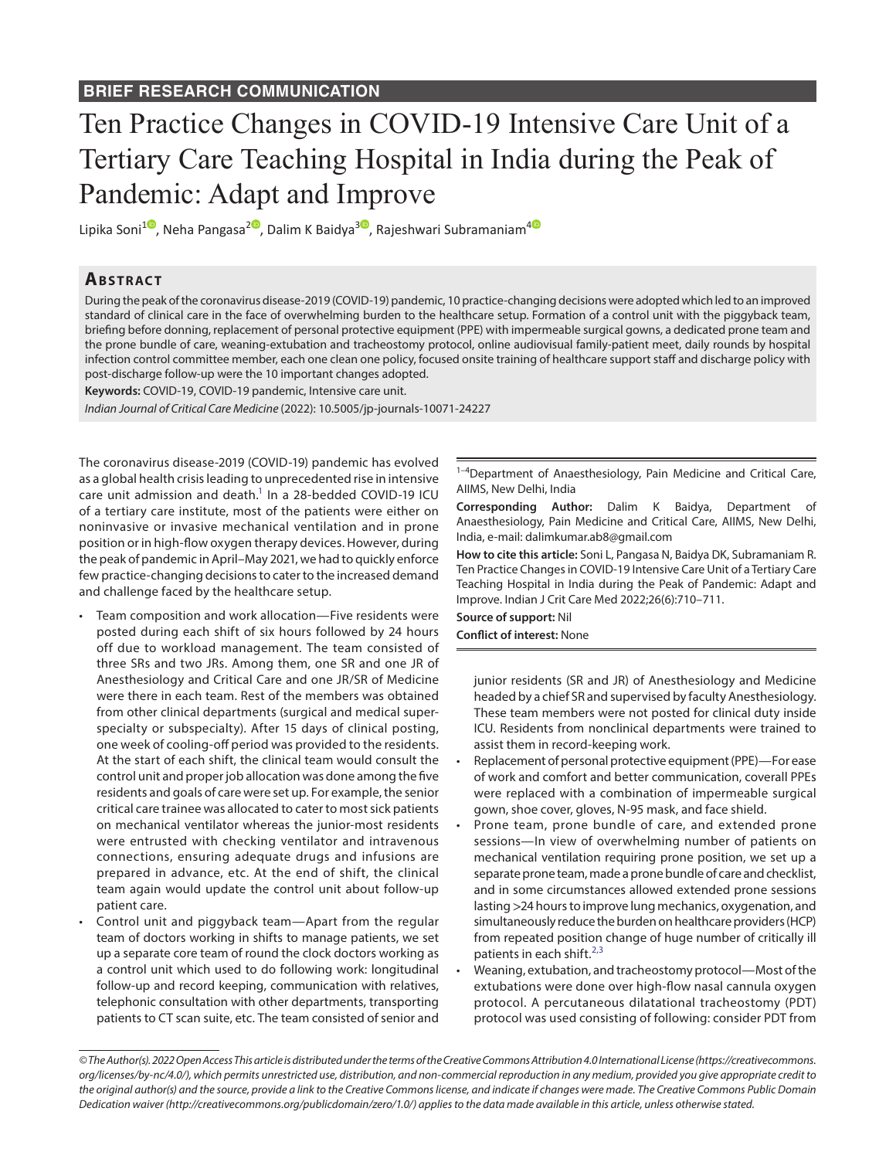## Ten Practice Changes in COVID-19 Intensive Care Unit of a Tertiary Care Teaching Hospital in India during the Peak of Pandemic: Adapt and Improve

Lipika Soni<sup>[1](https://orcid.org/0000-0002-7665-1112)</sup><sup>®</sup>[,](https://orcid.org/0000-0003-1131-3478) Neha Pangasa<sup>2®</sup>, Dalim K Baidya<sup>[3](https://orcid.org/0000-0001-7811-7039)®</sup>, Rajeshwari Subramaniam<sup>[4](https://orcid.org/0000-0002-3830-5278)®</sup>

## **ABSTRACT**

During the peak of the coronavirus disease-2019 (COVID-19) pandemic, 10 practice-changing decisions were adopted which led to an improved standard of clinical care in the face of overwhelming burden to the healthcare setup. Formation of a control unit with the piggyback team, briefing before donning, replacement of personal protective equipment (PPE) with impermeable surgical gowns, a dedicated prone team and the prone bundle of care, weaning-extubation and tracheostomy protocol, online audiovisual family-patient meet, daily rounds by hospital infection control committee member, each one clean one policy, focused onsite training of healthcare support staff and discharge policy with post-discharge follow-up were the 10 important changes adopted.

**Keywords:** COVID-19, COVID-19 pandemic, Intensive care unit.

*Indian Journal of Critical Care Medicine* (2022): 10.5005/jp-journals-10071-24227

The coronavirus disease-2019 (COVID-19) pandemic has evolved as a global health crisis leading to unprecedented rise in intensive care unit admission and death. $<sup>1</sup>$  In a 28-bedded COVID-19 ICU</sup> of a tertiary care institute, most of the patients were either on noninvasive or invasive mechanical ventilation and in prone position or in high-flow oxygen therapy devices. However, during the peak of pandemic in April–May 2021, we had to quickly enforce few practice-changing decisions to cater to the increased demand and challenge faced by the healthcare setup.

- Team composition and work allocation—Five residents were posted during each shift of six hours followed by 24 hours off due to workload management. The team consisted of three SRs and two JRs. Among them, one SR and one JR of Anesthesiology and Critical Care and one JR/SR of Medicine were there in each team. Rest of the members was obtained from other clinical departments (surgical and medical superspecialty or subspecialty). After 15 days of clinical posting, one week of cooling-off period was provided to the residents. At the start of each shift, the clinical team would consult the control unit and proper job allocation was done among the five residents and goals of care were set up. For example, the senior critical care trainee was allocated to cater to most sick patients on mechanical ventilator whereas the junior-most residents were entrusted with checking ventilator and intravenous connections, ensuring adequate drugs and infusions are prepared in advance, etc. At the end of shift, the clinical team again would update the control unit about follow-up patient care.
- Control unit and piggyback team—Apart from the regular team of doctors working in shifts to manage patients, we set up a separate core team of round the clock doctors working as a control unit which used to do following work: longitudinal follow-up and record keeping, communication with relatives, telephonic consultation with other departments, transporting patients to CT scan suite, etc. The team consisted of senior and

<sup>1-4</sup>Department of Anaesthesiology, Pain Medicine and Critical Care, AIIMS, New Delhi, India

**Corresponding Author:** Dalim K Baidya, Department of Anaesthesiology, Pain Medicine and Critical Care, AIIMS, New Delhi, India, e-mail: dalimkumar.ab8@gmail.com

**How to cite this article:** Soni L, Pangasa N, Baidya DK, Subramaniam R. Ten Practice Changes in COVID-19 Intensive Care Unit of a Tertiary Care Teaching Hospital in India during the Peak of Pandemic: Adapt and Improve. Indian J Crit Care Med 2022;26(6):710–711.

**Source of support:** Nil **Conflict of interest:** None

> junior residents (SR and JR) of Anesthesiology and Medicine headed by a chief SR and supervised by faculty Anesthesiology. These team members were not posted for clinical duty inside ICU. Residents from nonclinical departments were trained to assist them in record-keeping work.

- Replacement of personal protective equipment (PPE)—For ease of work and comfort and better communication, coverall PPEs were replaced with a combination of impermeable surgical gown, shoe cover, gloves, N-95 mask, and face shield.
- Prone team, prone bundle of care, and extended prone sessions—In view of overwhelming number of patients on mechanical ventilation requiring prone position, we set up a separate prone team, made a prone bundle of care and checklist, and in some circumstances allowed extended prone sessions lasting >24 hours to improve lung mechanics, oxygenation, and simultaneously reduce the burden on healthcare providers (HCP) from repeated position change of huge number of critically ill patients in each shift.<sup>[2,](#page-1-1)[3](#page-1-2)</sup>
- Weaning, extubation, and tracheostomy protocol—Most of the extubations were done over high-flow nasal cannula oxygen protocol. A percutaneous dilatational tracheostomy (PDT) protocol was used consisting of following: consider PDT from

*<sup>©</sup> The Author(s). 2022 Open Access This article is distributed under the terms of the Creative Commons Attribution 4.0 International License ([https://creativecommons.](https://creativecommons.org/licenses/by-nc/4.0/) [org/licenses/by-nc/4.0/](https://creativecommons.org/licenses/by-nc/4.0/)), which permits unrestricted use, distribution, and non-commercial reproduction in any medium, provided you give appropriate credit to the original author(s) and the source, provide a link to the Creative Commons license, and indicate if changes were made. The Creative Commons Public Domain Dedication waiver ([http://creativecommons.org/publicdomain/zero/1.0/\)](http://creativecommons.org/publicdomain/zero/1.0/) applies to the data made available in this article, unless otherwise stated.*